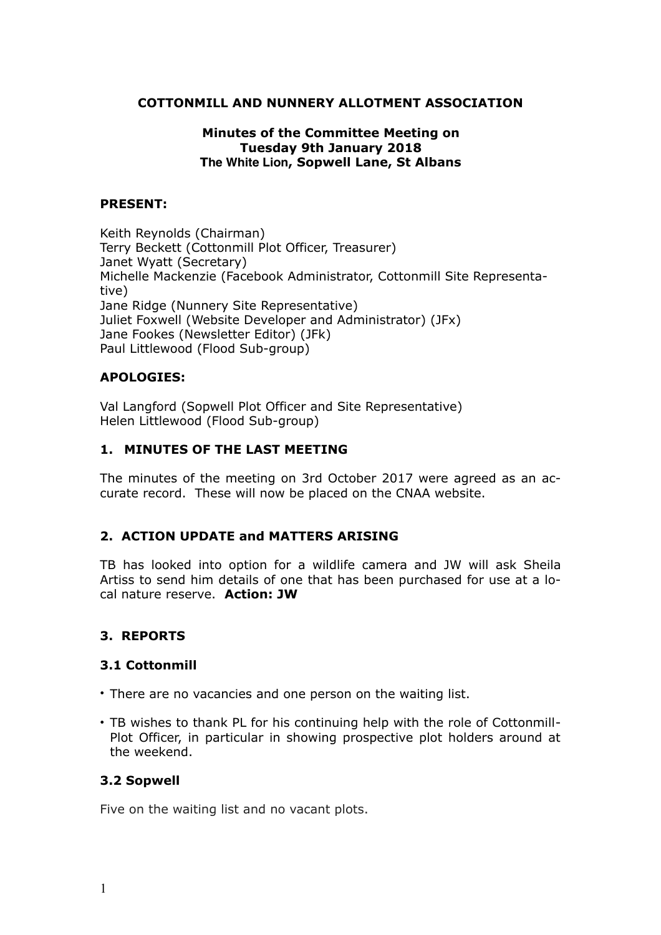#### **COTTONMILL AND NUNNERY ALLOTMENT ASSOCIATION**

#### **Minutes of the Committee Meeting on Tuesday 9th January 2018 The White Lion, Sopwell Lane, St Albans**

#### **PRESENT:**

Keith Reynolds (Chairman) Terry Beckett (Cottonmill Plot Officer, Treasurer) Janet Wyatt (Secretary) Michelle Mackenzie (Facebook Administrator, Cottonmill Site Representative) Jane Ridge (Nunnery Site Representative) Juliet Foxwell (Website Developer and Administrator) (JFx) Jane Fookes (Newsletter Editor) (JFk) Paul Littlewood (Flood Sub-group)

#### **APOLOGIES:**

Val Langford (Sopwell Plot Officer and Site Representative) Helen Littlewood (Flood Sub-group)

# **1. MINUTES OF THE LAST MEETING**

The minutes of the meeting on 3rd October 2017 were agreed as an accurate record. These will now be placed on the CNAA website.

# **2. ACTION UPDATE and MATTERS ARISING**

TB has looked into option for a wildlife camera and JW will ask Sheila Artiss to send him details of one that has been purchased for use at a local nature reserve. **Action: JW**

#### **3. REPORTS**

#### **3.1 Cottonmill**

- There are no vacancies and one person on the waiting list.
- TB wishes to thank PL for his continuing help with the role of Cottonmill-Plot Officer, in particular in showing prospective plot holders around at the weekend.

#### **3.2 Sopwell**

Five on the waiting list and no vacant plots.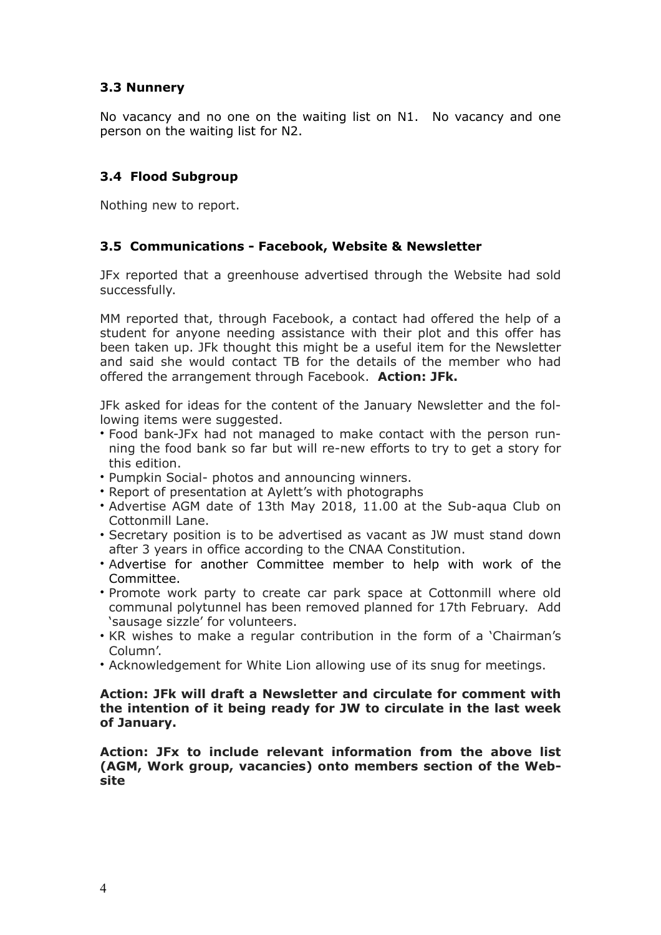# **3.3 Nunnery**

No vacancy and no one on the waiting list on N1. No vacancy and one person on the waiting list for N2.

# **3.4 Flood Subgroup**

Nothing new to report.

# **3.5 Communications - Facebook, Website & Newsletter**

JFx reported that a greenhouse advertised through the Website had sold successfully.

MM reported that, through Facebook, a contact had offered the help of a student for anyone needing assistance with their plot and this offer has been taken up. JFk thought this might be a useful item for the Newsletter and said she would contact TB for the details of the member who had offered the arrangement through Facebook. **Action: JFk.**

JFk asked for ideas for the content of the January Newsletter and the following items were suggested.

- Food bank-JFx had not managed to make contact with the person running the food bank so far but will re-new efforts to try to get a story for this edition.
- Pumpkin Social- photos and announcing winners.
- Report of presentation at Aylett's with photographs
- Advertise AGM date of 13th May 2018, 11.00 at the Sub-aqua Club on Cottonmill Lane.
- Secretary position is to be advertised as vacant as JW must stand down after 3 years in office according to the CNAA Constitution.
- Advertise for another Committee member to help with work of the Committee.
- Promote work party to create car park space at Cottonmill where old communal polytunnel has been removed planned for 17th February. Add 'sausage sizzle' for volunteers.
- KR wishes to make a regular contribution in the form of a 'Chairman's Column'.
- Acknowledgement for White Lion allowing use of its snug for meetings.

#### **Action: JFk will draft a Newsletter and circulate for comment with the intention of it being ready for JW to circulate in the last week of January.**

**Action: JFx to include relevant information from the above list (AGM, Work group, vacancies) onto members section of the Website**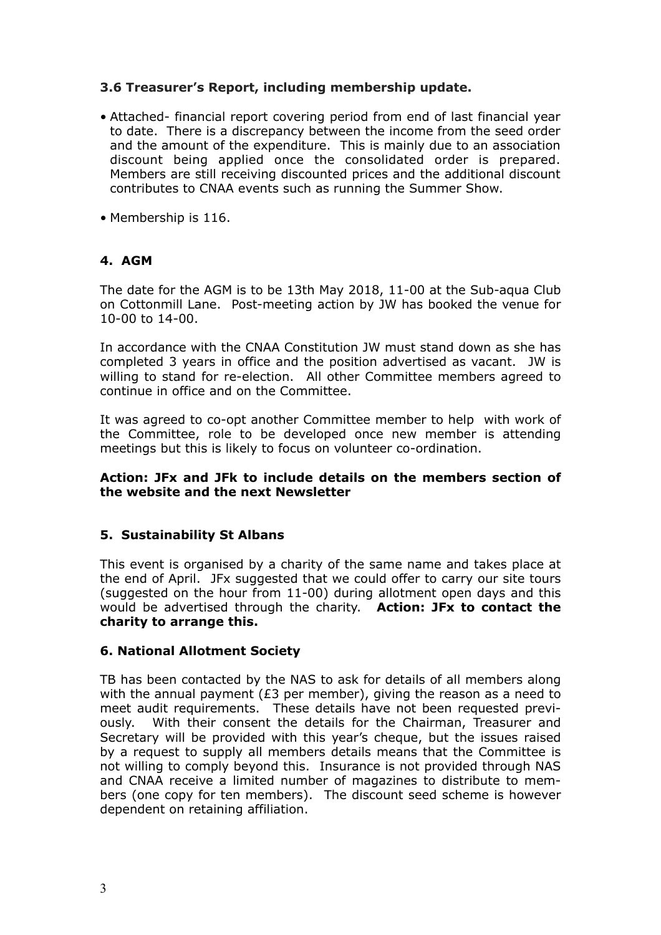# **3.6 Treasurer's Report, including membership update.**

- Attached- financial report covering period from end of last financial year to date. There is a discrepancy between the income from the seed order and the amount of the expenditure. This is mainly due to an association discount being applied once the consolidated order is prepared. Members are still receiving discounted prices and the additional discount contributes to CNAA events such as running the Summer Show.
- Membership is 116.

# **4. AGM**

The date for the AGM is to be 13th May 2018, 11-00 at the Sub-aqua Club on Cottonmill Lane. Post-meeting action by JW has booked the venue for 10-00 to 14-00.

In accordance with the CNAA Constitution JW must stand down as she has completed 3 years in office and the position advertised as vacant. JW is willing to stand for re-election. All other Committee members agreed to continue in office and on the Committee.

It was agreed to co-opt another Committee member to help with work of the Committee, role to be developed once new member is attending meetings but this is likely to focus on volunteer co-ordination.

#### **Action: JFx and JFk to include details on the members section of the website and the next Newsletter**

# **5. Sustainability St Albans**

This event is organised by a charity of the same name and takes place at the end of April. JFx suggested that we could offer to carry our site tours (suggested on the hour from 11-00) during allotment open days and this would be advertised through the charity. **Action: JFx to contact the charity to arrange this.**

# **6. National Allotment Society**

TB has been contacted by the NAS to ask for details of all members along with the annual payment ( $E3$  per member), giving the reason as a need to meet audit requirements. These details have not been requested previously. With their consent the details for the Chairman, Treasurer and Secretary will be provided with this year's cheque, but the issues raised by a request to supply all members details means that the Committee is not willing to comply beyond this. Insurance is not provided through NAS and CNAA receive a limited number of magazines to distribute to members (one copy for ten members). The discount seed scheme is however dependent on retaining affiliation.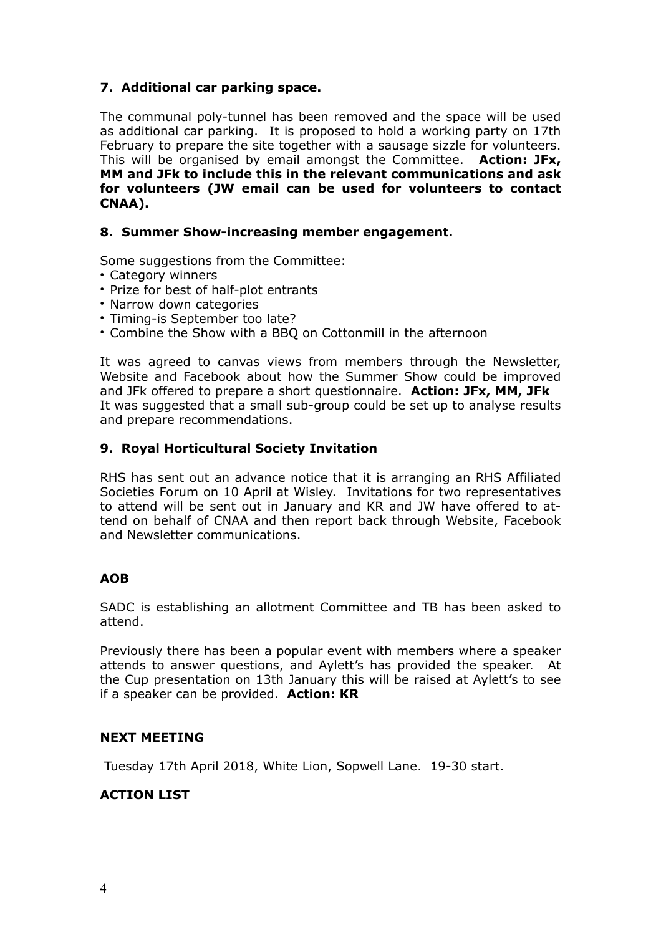# **7. Additional car parking space.**

The communal poly-tunnel has been removed and the space will be used as additional car parking. It is proposed to hold a working party on 17th February to prepare the site together with a sausage sizzle for volunteers. This will be organised by email amongst the Committee. **Action: JFx, MM and JFk to include this in the relevant communications and ask for volunteers (JW email can be used for volunteers to contact CNAA).** 

#### **8. Summer Show-increasing member engagement.**

Some suggestions from the Committee:

- Category winners
- Prize for best of half-plot entrants
- Narrow down categories
- Timing-is September too late?
- Combine the Show with a BBQ on Cottonmill in the afternoon

It was agreed to canvas views from members through the Newsletter, Website and Facebook about how the Summer Show could be improved and JFk offered to prepare a short questionnaire. **Action: JFx, MM, JFk**  It was suggested that a small sub-group could be set up to analyse results and prepare recommendations.

# **9. Royal Horticultural Society Invitation**

RHS has sent out an advance notice that it is arranging an RHS Affiliated Societies Forum on 10 April at Wisley. Invitations for two representatives to attend will be sent out in January and KR and JW have offered to attend on behalf of CNAA and then report back through Website, Facebook and Newsletter communications.

# **AOB**

SADC is establishing an allotment Committee and TB has been asked to attend.

Previously there has been a popular event with members where a speaker attends to answer questions, and Aylett's has provided the speaker. At the Cup presentation on 13th January this will be raised at Aylett's to see if a speaker can be provided. **Action: KR**

#### **NEXT MEETING**

Tuesday 17th April 2018, White Lion, Sopwell Lane. 19-30 start.

# **ACTION LIST**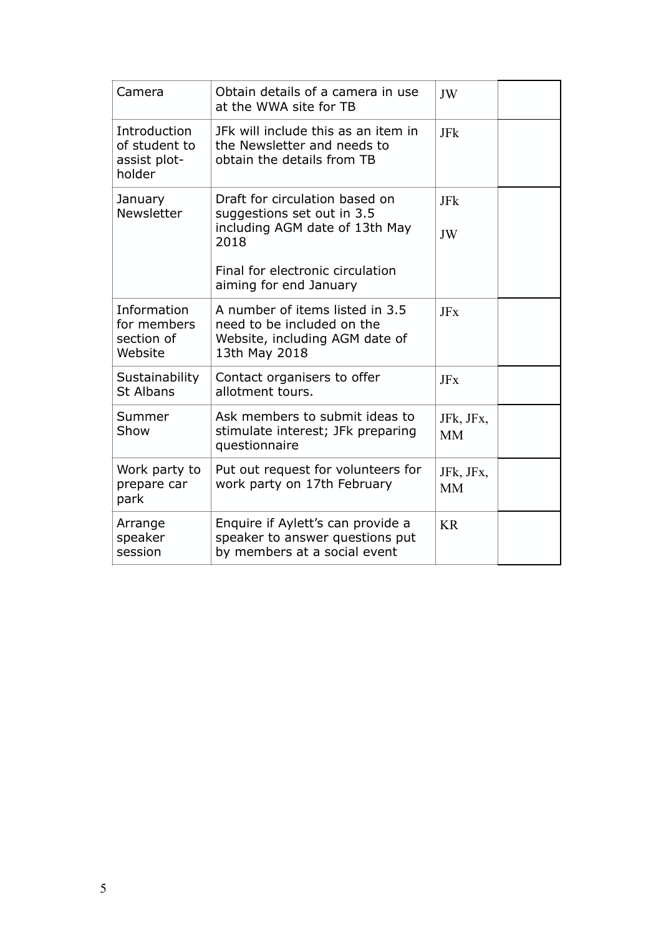| Camera                                                  | Obtain details of a camera in use<br>at the WWA site for TB                                                                                                          | JW                     |
|---------------------------------------------------------|----------------------------------------------------------------------------------------------------------------------------------------------------------------------|------------------------|
| Introduction<br>of student to<br>assist plot-<br>holder | JFk will include this as an item in<br>the Newsletter and needs to<br>obtain the details from TB                                                                     | JFk                    |
| January<br><b>Newsletter</b>                            | Draft for circulation based on<br>suggestions set out in 3.5<br>including AGM date of 13th May<br>2018<br>Final for electronic circulation<br>aiming for end January | JFk<br>JW              |
| Information<br>for members<br>section of<br>Website     | A number of items listed in 3.5<br>need to be included on the<br>Website, including AGM date of<br>13th May 2018                                                     | <b>JFx</b>             |
| Sustainability<br><b>St Albans</b>                      | Contact organisers to offer<br>allotment tours.                                                                                                                      | <b>JFx</b>             |
| Summer<br>Show                                          | Ask members to submit ideas to<br>stimulate interest; JFk preparing<br>questionnaire                                                                                 | JFk, JFx,<br><b>MM</b> |
| Work party to<br>prepare car<br>park                    | Put out request for volunteers for<br>work party on 17th February                                                                                                    | JFk, JFx,<br><b>MM</b> |
| Arrange<br>speaker<br>session                           | Enquire if Aylett's can provide a<br>speaker to answer questions put<br>by members at a social event                                                                 | <b>KR</b>              |